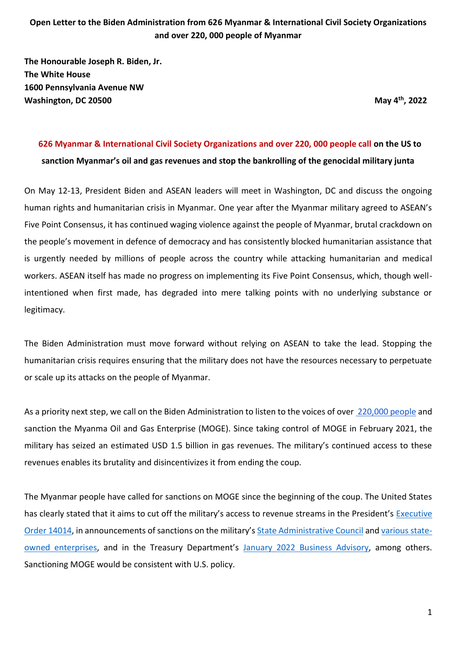**The Honourable Joseph R. Biden, Jr. The White House 1600 Pennsylvania Avenue NW Washington, DC 20500** 

**, 2022**

# **626 Myanmar & International Civil Society Organizations and over 220, 000 people call on the US to sanction Myanmar's oil and gas revenues and stop the bankrolling of the genocidal military junta**

On May 12-13, President Biden and ASEAN leaders will meet in Washington, DC and discuss the ongoing human rights and humanitarian crisis in Myanmar. One year after the Myanmar military agreed to ASEAN's Five Point Consensus, it has continued waging violence against the people of Myanmar, brutal crackdown on the people's movement in defence of democracy and has consistently blocked humanitarian assistance that is urgently needed by millions of people across the country while attacking humanitarian and medical workers. ASEAN itself has made no progress on implementing its Five Point Consensus, which, though wellintentioned when first made, has degraded into mere talking points with no underlying substance or legitimacy.

The Biden Administration must move forward without relying on ASEAN to take the lead. Stopping the humanitarian crisis requires ensuring that the military does not have the resources necessary to perpetuate or scale up its attacks on the people of Myanmar.

As a priority next step, we call on the Biden Administration to listen to the voices of over [220,000 people](https://actionnetwork.org/petitions/governments-of-the-united-states-and-france-stop-blocking-sanctions-on-myanmar-gas-revenues?source=direct_link&) and sanction the Myanma Oil and Gas Enterprise (MOGE). Since taking control of MOGE in February 2021, the military has seized an estimated USD 1.5 billion in gas revenues. The military's continued access to these revenues enables its brutality and disincentivizes it from ending the coup.

The Myanmar people have called for sanctions on MOGE since the beginning of the coup. The United States has clearly stated that it aims to cut off the military's access to revenue streams in the President's Executive [Order 14014](https://www.whitehouse.gov/briefing-room/presidential-actions/2021/02/11/executive-order-on-blocking-property-with-respect-to-the-situation-in-burma/), in announcements of sanctions on the military's [State Administrative Council](https://www.state.gov/designating-one-entity-and-16-individuals-connected-to-burmas-military-regime/) and [various state](https://www.state.gov/burma-sanctions/)[owned enterprises](https://www.state.gov/burma-sanctions/), and in the Treasury Department's [January 2022 Business Advisory,](https://home.treasury.gov/news/press-releases/jy0570) among others. Sanctioning MOGE would be consistent with U.S. policy.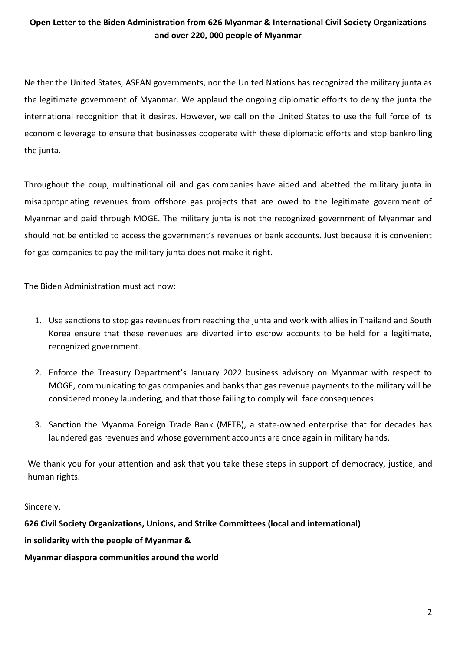Neither the United States, ASEAN governments, nor the United Nations has recognized the military junta as the legitimate government of Myanmar. We applaud the ongoing diplomatic efforts to deny the junta the international recognition that it desires. However, we call on the United States to use the full force of its economic leverage to ensure that businesses cooperate with these diplomatic efforts and stop bankrolling the junta.

Throughout the coup, multinational oil and gas companies have aided and abetted the military junta in misappropriating revenues from offshore gas projects that are owed to the legitimate government of Myanmar and paid through MOGE. The military junta is not the recognized government of Myanmar and should not be entitled to access the government's revenues or bank accounts. Just because it is convenient for gas companies to pay the military junta does not make it right.

The Biden Administration must act now:

- 1. Use sanctions to stop gas revenues from reaching the junta and work with allies in Thailand and South Korea ensure that these revenues are diverted into escrow accounts to be held for a legitimate, recognized government.
- 2. Enforce the Treasury Department's January 2022 business advisory on Myanmar with respect to MOGE, communicating to gas companies and banks that gas revenue payments to the military will be considered money laundering, and that those failing to comply will face consequences.
- 3. Sanction the Myanma Foreign Trade Bank (MFTB), a state-owned enterprise that for decades has laundered gas revenues and whose government accounts are once again in military hands.

We thank you for your attention and ask that you take these steps in support of democracy, justice, and human rights.

Sincerely,

**626 Civil Society Organizations, Unions, and Strike Committees (local and international) in solidarity with the people of Myanmar & Myanmar diaspora communities around the world**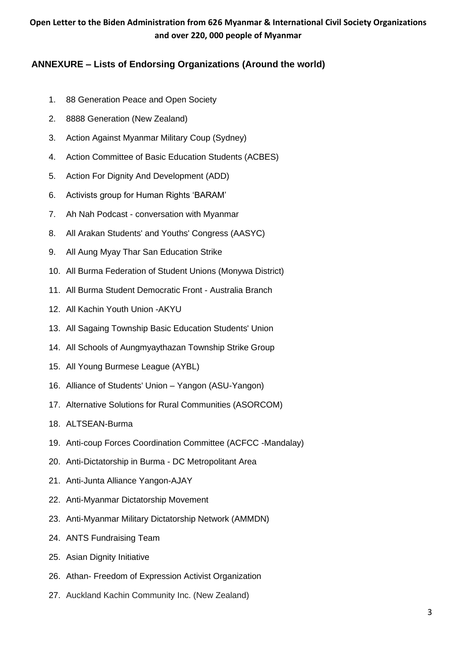# **ANNEXURE – Lists of Endorsing Organizations (Around the world)**

- 1. 88 Generation Peace and Open Society
- 2. 8888 Generation (New Zealand)
- 3. Action Against Myanmar Military Coup (Sydney)
- 4. Action Committee of Basic Education Students (ACBES)
- 5. Action For Dignity And Development (ADD)
- 6. Activists group for Human Rights 'BARAM'
- 7. Ah Nah Podcast conversation with Myanmar
- 8. All Arakan Students' and Youths' Congress (AASYC)
- 9. All Aung Myay Thar San Education Strike
- 10. All Burma Federation of Student Unions (Monywa District)
- 11. All Burma Student Democratic Front Australia Branch
- 12. All Kachin Youth Union -AKYU
- 13. All Sagaing Township Basic Education Students' Union
- 14. All Schools of Aungmyaythazan Township Strike Group
- 15. All Young Burmese League (AYBL)
- 16. Alliance of Students' Union Yangon (ASU-Yangon)
- 17. Alternative Solutions for Rural Communities (ASORCOM)
- 18. ALTSEAN-Burma
- 19. Anti-coup Forces Coordination Committee (ACFCC -Mandalay)
- 20. Anti-Dictatorship in Burma DC Metropolitant Area
- 21. Anti-Junta Alliance Yangon-AJAY
- 22. Anti-Myanmar Dictatorship Movement
- 23. Anti-Myanmar Military Dictatorship Network (AMMDN)
- 24. ANTS Fundraising Team
- 25. Asian Dignity Initiative
- 26. Athan- Freedom of Expression Activist Organization
- 27. Auckland Kachin Community Inc. (New Zealand)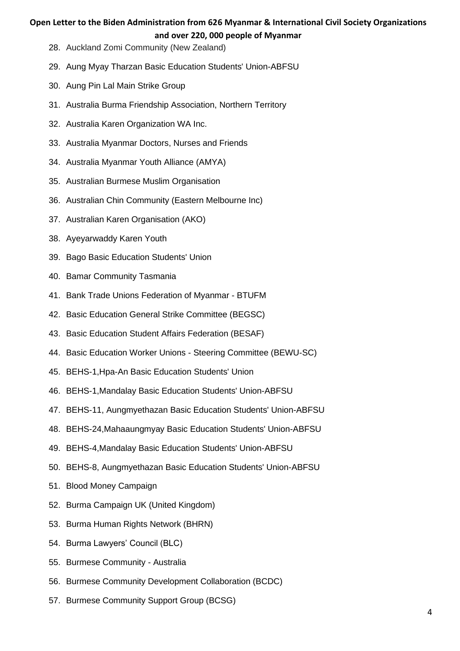- 28. Auckland Zomi Community (New Zealand)
- 29. Aung Myay Tharzan Basic Education Students' Union-ABFSU
- 30. Aung Pin Lal Main Strike Group
- 31. Australia Burma Friendship Association, Northern Territory
- 32. Australia Karen Organization WA Inc.
- 33. Australia Myanmar Doctors, Nurses and Friends
- 34. Australia Myanmar Youth Alliance (AMYA)
- 35. Australian Burmese Muslim Organisation
- 36. Australian Chin Community (Eastern Melbourne Inc)
- 37. Australian Karen Organisation (AKO)
- 38. Ayeyarwaddy Karen Youth
- 39. Bago Basic Education Students' Union
- 40. Bamar Community Tasmania
- 41. Bank Trade Unions Federation of Myanmar BTUFM
- 42. Basic Education General Strike Committee (BEGSC)
- 43. Basic Education Student Affairs Federation (BESAF)
- 44. Basic Education Worker Unions Steering Committee (BEWU-SC)
- 45. BEHS-1,Hpa-An Basic Education Students' Union
- 46. BEHS-1,Mandalay Basic Education Students' Union-ABFSU
- 47. BEHS-11, Aungmyethazan Basic Education Students' Union-ABFSU
- 48. BEHS-24,Mahaaungmyay Basic Education Students' Union-ABFSU
- 49. BEHS-4,Mandalay Basic Education Students' Union-ABFSU
- 50. BEHS-8, Aungmyethazan Basic Education Students' Union-ABFSU
- 51. Blood Money Campaign
- 52. Burma Campaign UK (United Kingdom)
- 53. Burma Human Rights Network (BHRN)
- 54. Burma Lawyers' Council (BLC)
- 55. Burmese Community Australia
- 56. Burmese Community Development Collaboration (BCDC)
- 57. Burmese Community Support Group (BCSG)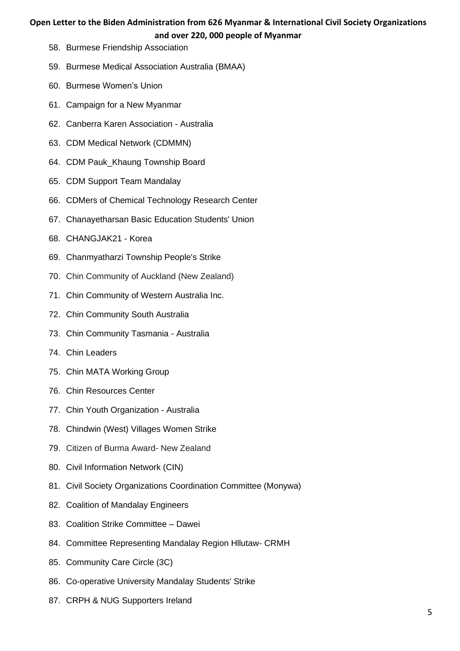- 58. Burmese Friendship Association
- 59. Burmese Medical Association Australia (BMAA)
- 60. Burmese Women's Union
- 61. Campaign for a New Myanmar
- 62. Canberra Karen Association Australia
- 63. CDM Medical Network (CDMMN)
- 64. CDM Pauk\_Khaung Township Board
- 65. CDM Support Team Mandalay
- 66. CDMers of Chemical Technology Research Center
- 67. Chanayetharsan Basic Education Students' Union
- 68. CHANGJAK21 Korea
- 69. Chanmyatharzi Township People's Strike
- 70. Chin Community of Auckland (New Zealand)
- 71. Chin Community of Western Australia Inc.
- 72. Chin Community South Australia
- 73. Chin Community Tasmania Australia
- 74. Chin Leaders
- 75. Chin MATA Working Group
- 76. Chin Resources Center
- 77. Chin Youth Organization Australia
- 78. Chindwin (West) Villages Women Strike
- 79. Citizen of Burma Award- New Zealand
- 80. Civil Information Network (CIN)
- 81. Civil Society Organizations Coordination Committee (Monywa)
- 82. Coalition of Mandalay Engineers
- 83. Coalition Strike Committee Dawei
- 84. Committee Representing Mandalay Region Hllutaw- CRMH
- 85. Community Care Circle (3C)
- 86. Co-operative University Mandalay Students' Strike
- 87. CRPH & NUG Supporters Ireland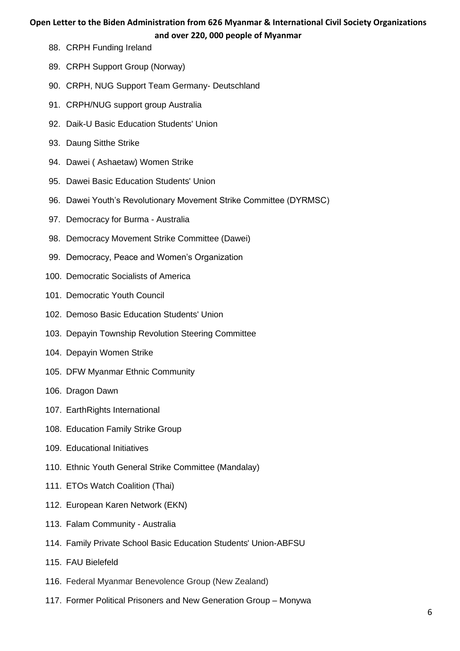- 88. CRPH Funding Ireland
- 89. CRPH Support Group (Norway)
- 90. CRPH, NUG Support Team Germany- Deutschland
- 91. CRPH/NUG support group Australia
- 92. Daik-U Basic Education Students' Union
- 93. Daung Sitthe Strike
- 94. Dawei ( Ashaetaw) Women Strike
- 95. Dawei Basic Education Students' Union
- 96. Dawei Youth's Revolutionary Movement Strike Committee (DYRMSC)
- 97. Democracy for Burma Australia
- 98. Democracy Movement Strike Committee (Dawei)
- 99. Democracy, Peace and Women's Organization
- 100. Democratic Socialists of America
- 101. Democratic Youth Council
- 102. Demoso Basic Education Students' Union
- 103. Depayin Township Revolution Steering Committee
- 104. Depayin Women Strike
- 105. DFW Myanmar Ethnic Community
- 106. Dragon Dawn
- 107. EarthRights International
- 108. Education Family Strike Group
- 109. Educational Initiatives
- 110. Ethnic Youth General Strike Committee (Mandalay)
- 111. ETOs Watch Coalition (Thai)
- 112. European Karen Network (EKN)
- 113. Falam Community Australia
- 114. Family Private School Basic Education Students' Union-ABFSU
- 115. FAU Bielefeld
- 116. Federal Myanmar Benevolence Group (New Zealand)
- 117. Former Political Prisoners and New Generation Group Monywa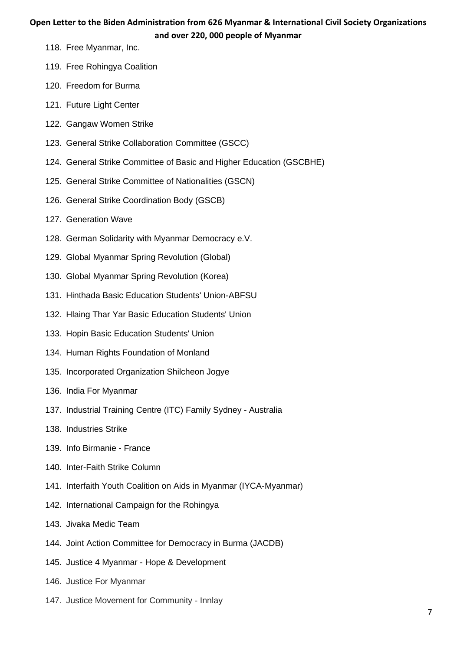- 118. Free Myanmar, Inc.
- 119. Free Rohingya Coalition
- 120. Freedom for Burma
- 121. Future Light Center
- 122. Gangaw Women Strike
- 123. General Strike Collaboration Committee (GSCC)
- 124. General Strike Committee of Basic and Higher Education (GSCBHE)
- 125. General Strike Committee of Nationalities (GSCN)
- 126. General Strike Coordination Body (GSCB)
- 127. Generation Wave
- 128. German Solidarity with Myanmar Democracy e.V.
- 129. Global Myanmar Spring Revolution (Global)
- 130. Global Myanmar Spring Revolution (Korea)
- 131. Hinthada Basic Education Students' Union-ABFSU
- 132. Hlaing Thar Yar Basic Education Students' Union
- 133. Hopin Basic Education Students' Union
- 134. Human Rights Foundation of Monland
- 135. Incorporated Organization Shilcheon Jogye
- 136. India For Myanmar
- 137. Industrial Training Centre (ITC) Family Sydney Australia
- 138. Industries Strike
- 139. Info Birmanie France
- 140. Inter-Faith Strike Column
- 141. Interfaith Youth Coalition on Aids in Myanmar (IYCA-Myanmar)
- 142. International Campaign for the Rohingya
- 143. Jivaka Medic Team
- 144. Joint Action Committee for Democracy in Burma (JACDB)
- 145. Justice 4 Myanmar Hope & Development
- 146. Justice For Myanmar
- 147. Justice Movement for Community Innlay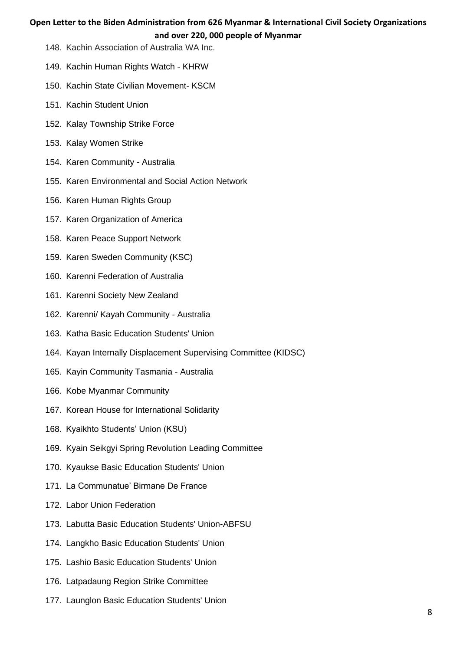- 148. Kachin Association of Australia WA Inc.
- 149. Kachin Human Rights Watch KHRW
- 150. Kachin State Civilian Movement- KSCM
- 151. Kachin Student Union
- 152. Kalay Township Strike Force
- 153. Kalay Women Strike
- 154. Karen Community Australia
- 155. Karen Environmental and Social Action Network
- 156. Karen Human Rights Group
- 157. Karen Organization of America
- 158. Karen Peace Support Network
- 159. Karen Sweden Community (KSC)
- 160. Karenni Federation of Australia
- 161. Karenni Society New Zealand
- 162. Karenni/ Kayah Community Australia
- 163. Katha Basic Education Students' Union
- 164. Kayan Internally Displacement Supervising Committee (KIDSC)
- 165. Kayin Community Tasmania Australia
- 166. Kobe Myanmar Community
- 167. Korean House for International Solidarity
- 168. Kyaikhto Students' Union (KSU)
- 169. Kyain Seikgyi Spring Revolution Leading Committee
- 170. Kyaukse Basic Education Students' Union
- 171. La Communatue' Birmane De France
- 172. Labor Union Federation
- 173. Labutta Basic Education Students' Union-ABFSU
- 174. Langkho Basic Education Students' Union
- 175. Lashio Basic Education Students' Union
- 176. Latpadaung Region Strike Committee
- 177. Launglon Basic Education Students' Union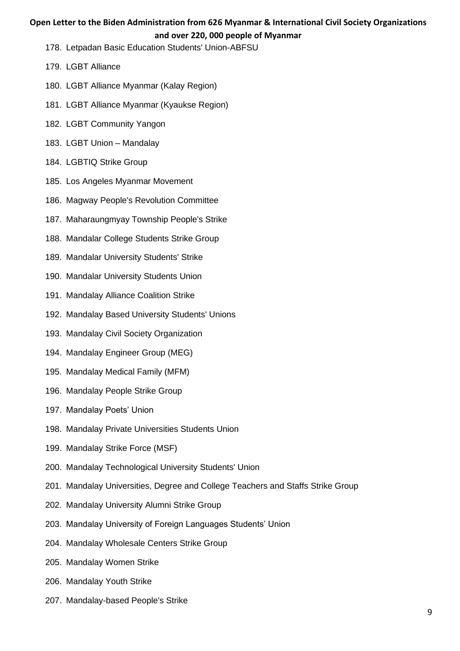- 178. Letpadan Basic Education Students' Union-ABFSU
- 179. LGBT Alliance
- 180. LGBT Alliance Myanmar (Kalay Region)
- 181. LGBT Alliance Myanmar (Kyaukse Region)
- 182. LGBT Community Yangon
- 183. LGBT Union Mandalay
- 184. LGBTIQ Strike Group
- 185. Los Angeles Myanmar Movement
- 186. Magway People's Revolution Committee
- 187. Maharaungmyay Township People's Strike
- 188. Mandalar College Students Strike Group
- 189. Mandalar University Students' Strike
- 190. Mandalar University Students Union
- 191. Mandalay Alliance Coalition Strike
- 192. Mandalay Based University Students' Unions
- 193. Mandalay Civil Society Organization
- 194. Mandalay Engineer Group (MEG)
- 195. Mandalay Medical Family (MFM)
- 196. Mandalay People Strike Group
- 197. Mandalay Poets' Union
- 198. Mandalay Private Universities Students Union
- 199. Mandalay Strike Force (MSF)
- 200. Mandalay Technological University Students' Union
- 201. Mandalay Universities, Degree and College Teachers and Staffs Strike Group
- 202. Mandalay University Alumni Strike Group
- 203. Mandalay University of Foreign Languages Students' Union
- 204. Mandalay Wholesale Centers Strike Group
- 205. Mandalay Women Strike
- 206. Mandalay Youth Strike
- 207. Mandalay-based People's Strike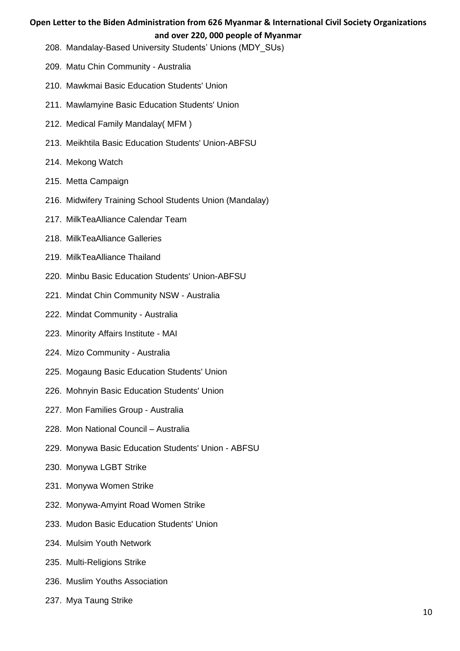- 208. Mandalay-Based University Students' Unions (MDY\_SUs)
- 209. Matu Chin Community Australia
- 210. Mawkmai Basic Education Students' Union
- 211. Mawlamyine Basic Education Students' Union
- 212. Medical Family Mandalay( MFM )
- 213. Meikhtila Basic Education Students' Union-ABFSU
- 214. Mekong Watch
- 215. Metta Campaign
- 216. Midwifery Training School Students Union (Mandalay)
- 217. MilkTeaAlliance Calendar Team
- 218. MilkTeaAlliance Galleries
- 219. MilkTeaAlliance Thailand
- 220. Minbu Basic Education Students' Union-ABFSU
- 221. Mindat Chin Community NSW Australia
- 222. Mindat Community Australia
- 223. Minority Affairs Institute MAI
- 224. Mizo Community Australia
- 225. Mogaung Basic Education Students' Union
- 226. Mohnyin Basic Education Students' Union
- 227. Mon Families Group Australia
- 228. Mon National Council Australia
- 229. Monywa Basic Education Students' Union ABFSU
- 230. Monywa LGBT Strike
- 231. Monywa Women Strike
- 232. Monywa-Amyint Road Women Strike
- 233. Mudon Basic Education Students' Union
- 234. Mulsim Youth Network
- 235. Multi-Religions Strike
- 236. Muslim Youths Association
- 237. Mya Taung Strike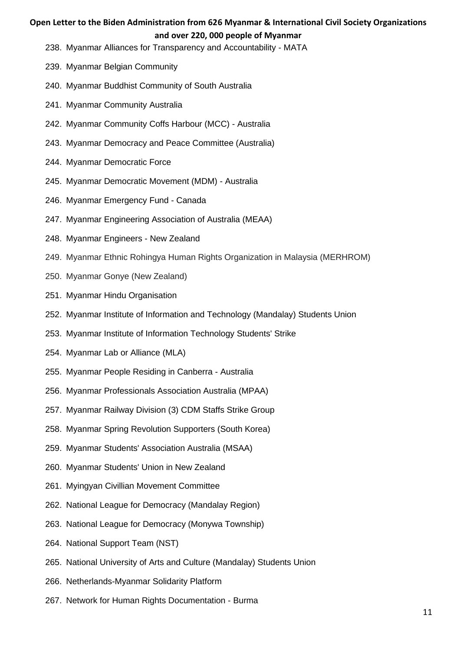- 238. Myanmar Alliances for Transparency and Accountability MATA
- 239. Myanmar Belgian Community
- 240. Myanmar Buddhist Community of South Australia
- 241. Myanmar Community Australia
- 242. Myanmar Community Coffs Harbour (MCC) Australia
- 243. Myanmar Democracy and Peace Committee (Australia)
- 244. Myanmar Democratic Force
- 245. Myanmar Democratic Movement (MDM) Australia
- 246. Myanmar Emergency Fund Canada
- 247. Myanmar Engineering Association of Australia (MEAA)
- 248. Myanmar Engineers New Zealand
- 249. Myanmar Ethnic Rohingya Human Rights Organization in Malaysia (MERHROM)
- 250. Myanmar Gonye (New Zealand)
- 251. Myanmar Hindu Organisation
- 252. Myanmar Institute of Information and Technology (Mandalay) Students Union
- 253. Myanmar Institute of Information Technology Students' Strike
- 254. Myanmar Lab or Alliance (MLA)
- 255. Myanmar People Residing in Canberra Australia
- 256. Myanmar Professionals Association Australia (MPAA)
- 257. Myanmar Railway Division (3) CDM Staffs Strike Group
- 258. Myanmar Spring Revolution Supporters (South Korea)
- 259. Myanmar Students' Association Australia (MSAA)
- 260. Myanmar Students' Union in New Zealand
- 261. Myingyan Civillian Movement Committee
- 262. National League for Democracy (Mandalay Region)
- 263. National League for Democracy (Monywa Township)
- 264. National Support Team (NST)
- 265. National University of Arts and Culture (Mandalay) Students Union
- 266. Netherlands-Myanmar Solidarity Platform
- 267. Network for Human Rights Documentation Burma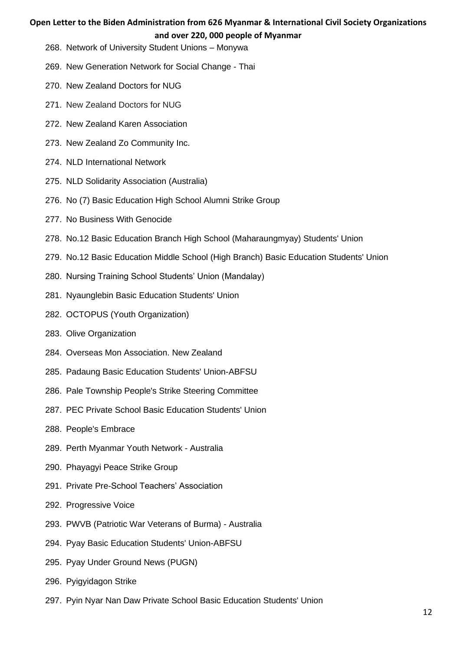- 268. Network of University Student Unions Monywa
- 269. New Generation Network for Social Change Thai
- 270. New Zealand Doctors for NUG
- 271. New Zealand Doctors for NUG
- 272. New Zealand Karen Association
- 273. New Zealand Zo Community Inc.
- 274. NLD International Network
- 275. NLD Solidarity Association (Australia)
- 276. No (7) Basic Education High School Alumni Strike Group
- 277. No Business With Genocide
- 278. No.12 Basic Education Branch High School (Maharaungmyay) Students' Union
- 279. No.12 Basic Education Middle School (High Branch) Basic Education Students' Union
- 280. Nursing Training School Students' Union (Mandalay)
- 281. Nyaunglebin Basic Education Students' Union
- 282. OCTOPUS (Youth Organization)
- 283. Olive Organization
- 284. Overseas Mon Association. New Zealand
- 285. Padaung Basic Education Students' Union-ABFSU
- 286. Pale Township People's Strike Steering Committee
- 287. PEC Private School Basic Education Students' Union
- 288. People's Embrace
- 289. Perth Myanmar Youth Network Australia
- 290. Phayagyi Peace Strike Group
- 291. Private Pre-School Teachers' Association
- 292. Progressive Voice
- 293. PWVB (Patriotic War Veterans of Burma) Australia
- 294. Pyay Basic Education Students' Union-ABFSU
- 295. Pyay Under Ground News (PUGN)
- 296. Pyigyidagon Strike
- 297. Pyin Nyar Nan Daw Private School Basic Education Students' Union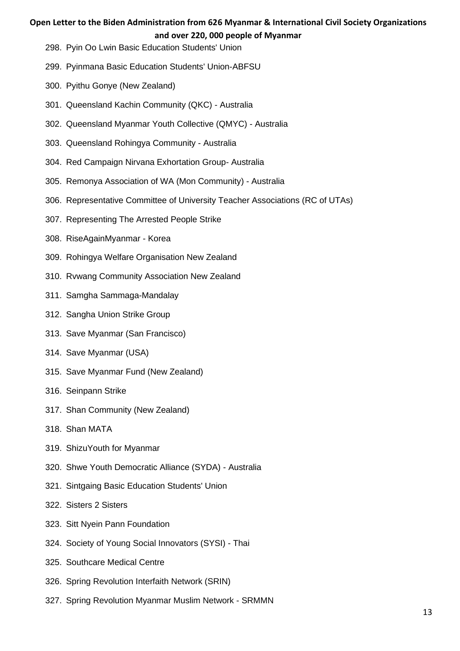- 298. Pyin Oo Lwin Basic Education Students' Union
- 299. Pyinmana Basic Education Students' Union-ABFSU
- 300. Pyithu Gonye (New Zealand)
- 301. Queensland Kachin Community (QKC) Australia
- 302. Queensland Myanmar Youth Collective (QMYC) Australia
- 303. Queensland Rohingya Community Australia
- 304. Red Campaign Nirvana Exhortation Group- Australia
- 305. Remonya Association of WA (Mon Community) Australia
- 306. Representative Committee of University Teacher Associations (RC of UTAs)
- 307. Representing The Arrested People Strike
- 308. RiseAgainMyanmar Korea
- 309. Rohingya Welfare Organisation New Zealand
- 310. Rvwang Community Association New Zealand
- 311. Samgha Sammaga-Mandalay
- 312. Sangha Union Strike Group
- 313. Save Myanmar (San Francisco)
- 314. Save Myanmar (USA)
- 315. Save Myanmar Fund (New Zealand)
- 316. Seinpann Strike
- 317. Shan Community (New Zealand)
- 318. Shan MATA
- 319. ShizuYouth for Myanmar
- 320. Shwe Youth Democratic Alliance (SYDA) Australia
- 321. Sintgaing Basic Education Students' Union
- 322. Sisters 2 Sisters
- 323. Sitt Nyein Pann Foundation
- 324. Society of Young Social Innovators (SYSI) Thai
- 325. Southcare Medical Centre
- 326. Spring Revolution Interfaith Network (SRIN)
- 327. Spring Revolution Myanmar Muslim Network SRMMN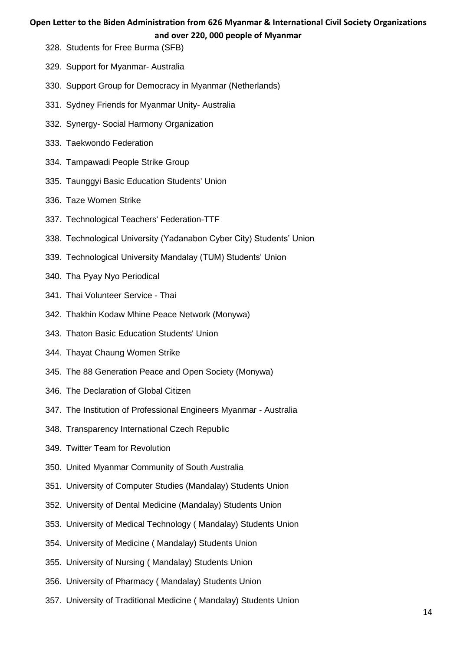- 328. Students for Free Burma (SFB)
- 329. Support for Myanmar- Australia
- 330. Support Group for Democracy in Myanmar (Netherlands)
- 331. Sydney Friends for Myanmar Unity- Australia
- 332. Synergy- Social Harmony Organization
- 333. Taekwondo Federation
- 334. Tampawadi People Strike Group
- 335. Taunggyi Basic Education Students' Union
- 336. Taze Women Strike
- 337. Technological Teachers' Federation-TTF
- 338. Technological University (Yadanabon Cyber City) Students' Union
- 339. Technological University Mandalay (TUM) Students' Union
- 340. Tha Pyay Nyo Periodical
- 341. Thai Volunteer Service Thai
- 342. Thakhin Kodaw Mhine Peace Network (Monywa)
- 343. Thaton Basic Education Students' Union
- 344. Thayat Chaung Women Strike
- 345. The 88 Generation Peace and Open Society (Monywa)
- 346. The Declaration of Global Citizen
- 347. The Institution of Professional Engineers Myanmar Australia
- 348. Transparency International Czech Republic
- 349. Twitter Team for Revolution
- 350. United Myanmar Community of South Australia
- 351. University of Computer Studies (Mandalay) Students Union
- 352. University of Dental Medicine (Mandalay) Students Union
- 353. University of Medical Technology ( Mandalay) Students Union
- 354. University of Medicine ( Mandalay) Students Union
- 355. University of Nursing ( Mandalay) Students Union
- 356. University of Pharmacy ( Mandalay) Students Union
- 357. University of Traditional Medicine ( Mandalay) Students Union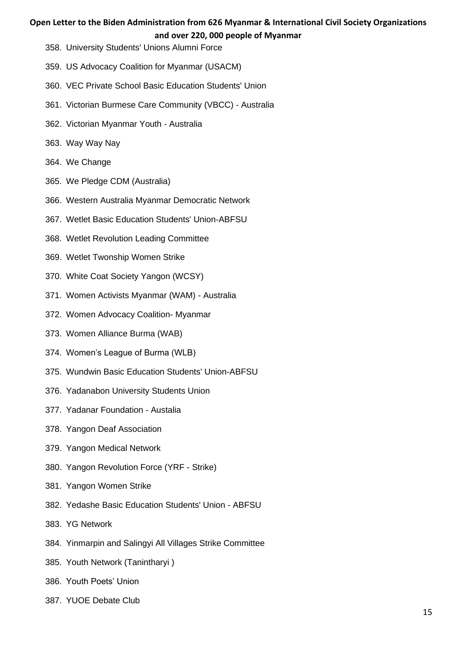- 358. University Students' Unions Alumni Force
- 359. US Advocacy Coalition for Myanmar (USACM)
- 360. VEC Private School Basic Education Students' Union
- 361. Victorian Burmese Care Community (VBCC) Australia
- 362. Victorian Myanmar Youth Australia
- 363. Way Way Nay
- 364. We Change
- 365. We Pledge CDM (Australia)
- 366. Western Australia Myanmar Democratic Network
- 367. Wetlet Basic Education Students' Union-ABFSU
- 368. Wetlet Revolution Leading Committee
- 369. Wetlet Twonship Women Strike
- 370. White Coat Society Yangon (WCSY)
- 371. Women Activists Myanmar (WAM) Australia
- 372. Women Advocacy Coalition- Myanmar
- 373. Women Alliance Burma (WAB)
- 374. Women's League of Burma (WLB)
- 375. Wundwin Basic Education Students' Union-ABFSU
- 376. Yadanabon University Students Union
- 377. Yadanar Foundation Austalia
- 378. Yangon Deaf Association
- 379. Yangon Medical Network
- 380. Yangon Revolution Force (YRF Strike)
- 381. Yangon Women Strike
- 382. Yedashe Basic Education Students' Union ABFSU
- 383. YG Network
- 384. Yinmarpin and Salingyi All Villages Strike Committee
- 385. Youth Network (Tanintharyi )
- 386. Youth Poets' Union
- 387. YUOE Debate Club